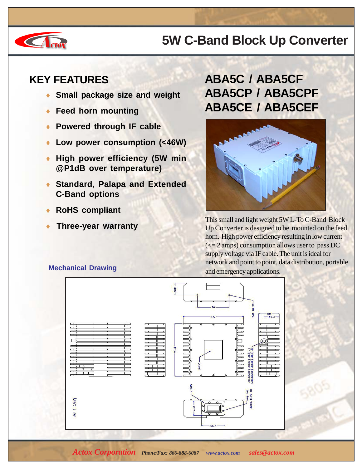# **CA** org

### **5W C-Band Block Up Converter**

#### **KEY FEATURES**

- **Small package size and weight**
- **Feed horn mounting**
- **Powered through IF cable**
- **Low power consumption (<46W)**
- **High power efficiency (5W min @P1dB over temperature)**
- **Standard, Palapa and Extended C-Band options**
- **RoHS compliant**
- 

#### **ABA5C / ABA5CF ABA5CP / ABA5CPF ABA5CE / ABA5CEF**



**This small and light weight 5W L-To C-Band Block**<br>In Converter is designed to be mounted on the feed Up Converter is designed to be mounted on the feed horn. High power efficiency resulting in low current  $\left(\leq 2 \text{amps}\right)$  consumption allows user to pass DC supply voltage via IF cable. The unit is ideal for network and point to point, data distribution, portable **Mechanical Drawing**<br>and emergency applications.